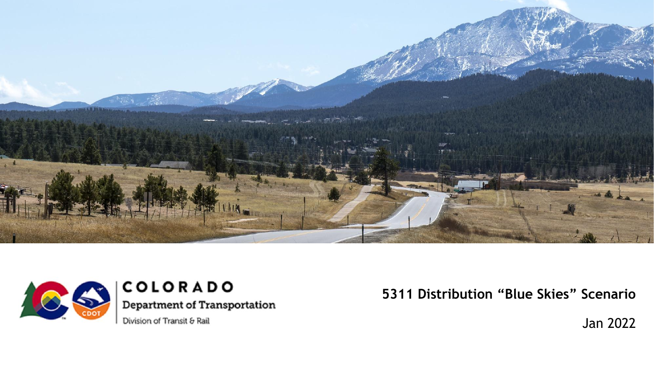



COLORADO **Department of Transportation** 

Division of Transit & Rail

**5311 Distribution "Blue Skies" Scenario**

Jan 2022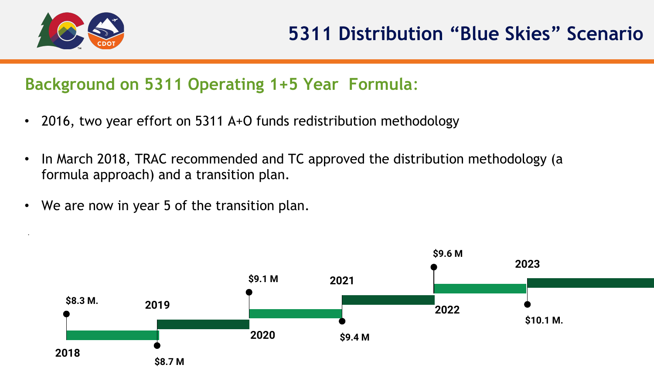

•

# **Background on 5311 Operating 1+5 Year Formula**:

- 2016, two year effort on 5311 A+O funds redistribution methodology
- In March 2018, TRAC recommended and TC approved the distribution methodology (a formula approach) and a transition plan.
- We are now in year 5 of the transition plan.

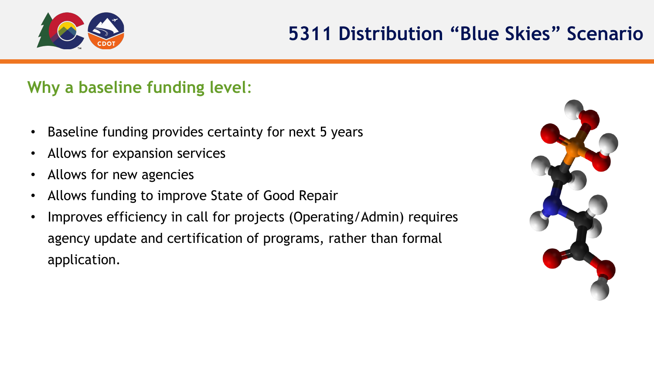

## **Why a baseline funding level**:

- Baseline funding provides certainty for next 5 years
- Allows for expansion services
- Allows for new agencies
- Allows funding to improve State of Good Repair
- Improves efficiency in call for projects (Operating/Admin) requires agency update and certification of programs, rather than formal application.

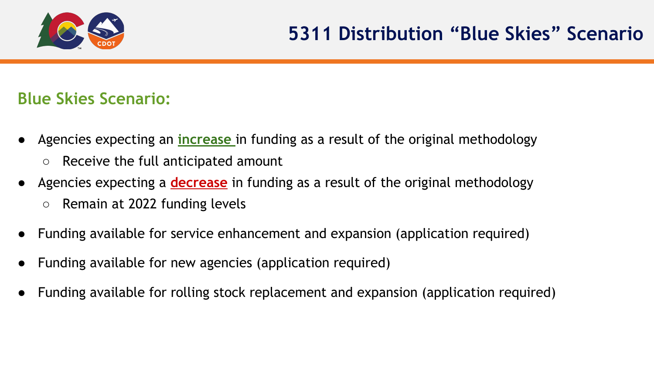

## **Blue Skies Scenario:**

- Agencies expecting an *increase* in funding as a result of the original methodology
	- Receive the full anticipated amount
- Agencies expecting a **decrease** in funding as a result of the original methodology
	- Remain at 2022 funding levels
- Funding available for service enhancement and expansion (application required)
- Funding available for new agencies (application required)
- Funding available for rolling stock replacement and expansion (application required)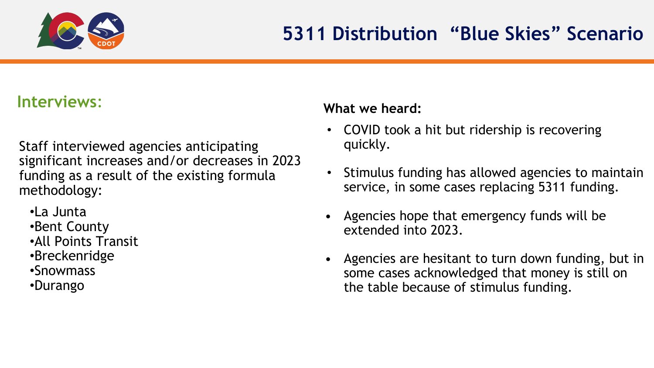

## **Interviews**:

Staff interviewed agencies anticipating significant increases and/or decreases in 2023 funding as a result of the existing formula methodology:

•La Junta

- •Bent County
- •All Points Transit
- •Breckenridge
- •Snowmass
- •Durango

#### **What we heard:**

- COVID took a hit but ridership is recovering quickly.
- Stimulus funding has allowed agencies to maintain service, in some cases replacing 5311 funding.
- Agencies hope that emergency funds will be extended into 2023.
- Agencies are hesitant to turn down funding, but in some cases acknowledged that money is still on the table because of stimulus funding.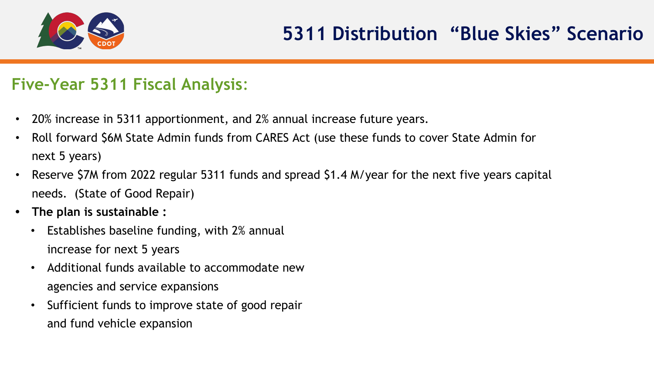

## **Five-Year 5311 Fiscal Analysis**:

- 20% increase in 5311 apportionment, and 2% annual increase future years.
- Roll forward \$6M State Admin funds from CARES Act (use these funds to cover State Admin for next 5 years)
- Reserve \$7M from 2022 regular 5311 funds and spread \$1.4 M/year for the next five years capital needs. (State of Good Repair)
- **• The plan is sustainable :** 
	- Establishes baseline funding, with 2% annual increase for next 5 years
	- Additional funds available to accommodate new agencies and service expansions
	- Sufficient funds to improve state of good repair and fund vehicle expansion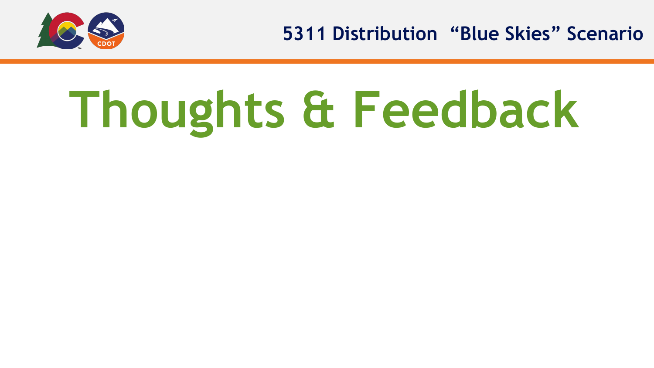

**5311 Distribution "Blue Skies" Scenario**

# **Thoughts & Feedback**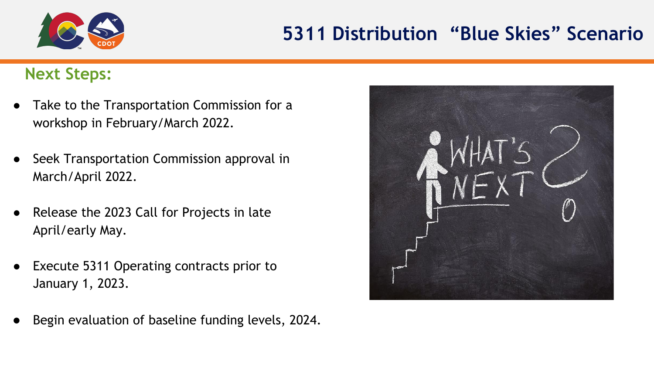

### **Next Steps:**

- Take to the Transportation Commission for a workshop in February/March 2022.
- Seek Transportation Commission approval in March/April 2022.
- Release the 2023 Call for Projects in late April/early May.
- Execute 5311 Operating contracts prior to January 1, 2023.
- Begin evaluation of baseline funding levels, 2024.